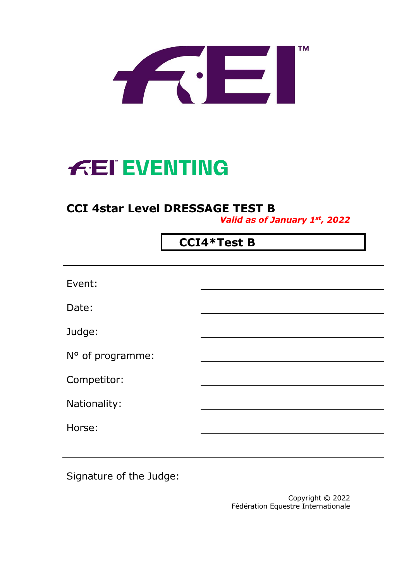

# **FEI EVENTING**

## **CCI 4star Level DRESSAGE TEST B**

*Valid as of January 1st, 2022*

# **CCI4\*Test B**

Signature of the Judge:

Copyright © 2022 Fédération Equestre Internationale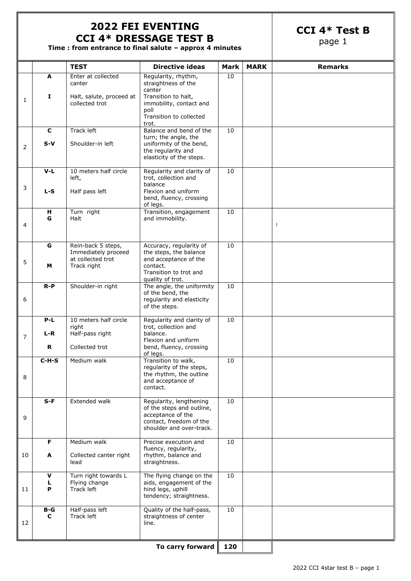#### **2022 FEI EVENTING CCI 4\* DRESSAGE TEST B**

**CCI 4\* Test B**

page 1

**Time : from entrance to final salute – approx 4 minutes**

|    |             | <b>TEST</b>                                         | <b>Directive ideas</b>                                                                              | <b>Mark</b> | <b>MARK</b> | <b>Remarks</b> |
|----|-------------|-----------------------------------------------------|-----------------------------------------------------------------------------------------------------|-------------|-------------|----------------|
|    | A           | Enter at collected<br>canter                        | Regularity, rhythm,<br>straightness of the<br>canter                                                | 10          |             |                |
| 1  | I           | Halt, salute, proceed at<br>collected trot          | Transition to halt,<br>immobility, contact and                                                      |             |             |                |
|    |             |                                                     | poll<br>Transition to collected<br>trot.                                                            |             |             |                |
|    | $\mathbf c$ | Track left                                          | Balance and bend of the<br>turn; the angle, the                                                     | 10          |             |                |
| 2  | $S-V$       | Shoulder-in left                                    | uniformity of the bend,<br>the regularity and<br>elasticity of the steps.                           |             |             |                |
|    | $V-L$       | 10 meters half circle<br>left,                      | Regularity and clarity of<br>trot, collection and                                                   | 10          |             |                |
| 3  | $L-S$       | Half pass left                                      | balance<br>Flexion and uniform<br>bend, fluency, crossing<br>of legs.                               |             |             |                |
| 4  | н<br>G      | Turn right<br>Halt                                  | Transition, engagement<br>and immobility.                                                           | 10          |             | Ţ              |
|    |             |                                                     |                                                                                                     |             |             |                |
|    | G           | Rein-back 5 steps,<br>Immediately proceed           | Accuracy, regularity of<br>the steps, the balance                                                   | 10          |             |                |
| 5  | М           | at collected trot<br>Track right                    | and acceptance of the<br>contact.<br>Transition to trot and<br>quality of trot.                     |             |             |                |
|    | $R-P$       | Shoulder-in right                                   | The angle, the uniformity                                                                           | 10          |             |                |
| 6  |             |                                                     | of the bend, the<br>regularity and elasticity<br>of the steps.                                      |             |             |                |
|    | $P-L$       | 10 meters half circle<br>right                      | Regularity and clarity of<br>trot, collection and                                                   | 10          |             |                |
| 7  | L-R         | Half-pass right                                     | balance.<br>Flexion and uniform                                                                     |             |             |                |
|    | R           | Collected trot                                      | bend, fluency, crossing<br>of legs.                                                                 |             |             |                |
|    | $C-H-S$     | Medium walk                                         | Transition to walk,<br>regularity of the steps,                                                     | 10          |             |                |
| 8  |             |                                                     | the rhythm, the outline<br>and acceptance of<br>contact.                                            |             |             |                |
|    | $S-F$       | Extended walk                                       | Regularity, lengthening<br>of the steps and outline,                                                | 10          |             |                |
| 9  |             |                                                     | acceptance of the<br>contact, freedom of the<br>shoulder and over-track.                            |             |             |                |
|    | F           | Medium walk                                         | Precise execution and<br>fluency, regularity,                                                       | 10          |             |                |
| 10 | A           | Collected canter right<br>lead                      | rhythm, balance and<br>straightness.                                                                |             |             |                |
| 11 | v<br>L<br>P | Turn right towards L<br>Flying change<br>Track left | The flying change on the<br>aids, engagement of the<br>hind legs, uphill<br>tendency; straightness. | 10          |             |                |
| 12 | $B-G$<br>C  | Half-pass left<br>Track left                        | Quality of the half-pass,<br>straightness of center<br>line.                                        | 10          |             |                |
|    |             |                                                     |                                                                                                     |             |             |                |
|    |             |                                                     | To carry forward                                                                                    | 120         |             |                |